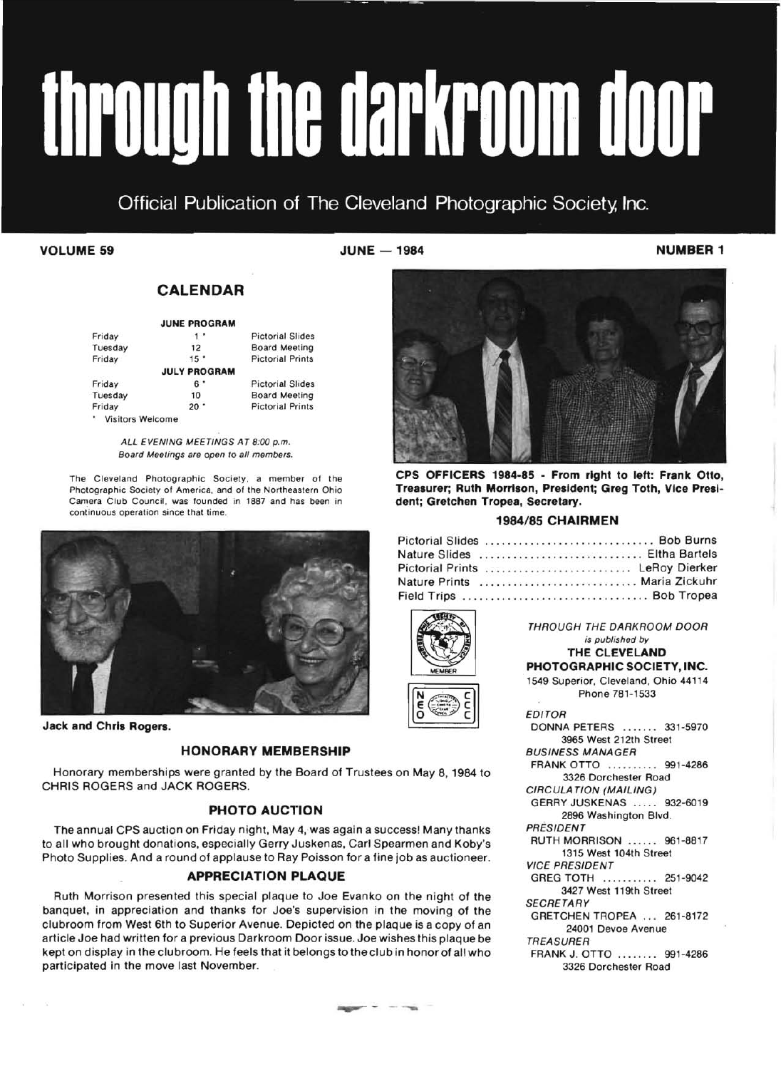# through the darkroom door

Official Publication of The Cleveland Photographic Society, Inc.

**VOLUME 59** NUMBER 1

### **CALENDAR**

|        | <b>JUNE PROGRAM</b> |                         |
|--------|---------------------|-------------------------|
| Friday | $-1$                | <b>Pictorial Slides</b> |

| 12                  | <b>Board Meeting</b>    |
|---------------------|-------------------------|
| $15$ <sup>*</sup>   | <b>Pictorial Prints</b> |
| <b>JULY PROGRAM</b> |                         |
| 6 '                 | <b>Pictorial Slides</b> |
| 10                  | <b>Board Meeting</b>    |
| $20$ $\degree$      | <b>Pictorial Prints</b> |
|                     |                         |
|                     | * Visitors Welcome      |

ALL EVENING MEETINGS AT 8:00 p.m. Board Meetings are open to all members.

The Cleveland Photographic Society, a member of the Photographic Society of America, and of the Northeastern Ohio Camera Club Council, was founded in 1887 and has been in continuous operation since that time.



**Jack and Chris Rogers.** 

 $\langle \hat{q} \rangle$  $\sim 10^7$ 

### **HONORARY MEMBERSHIP**

Honorary memberships were granted by the Board of Trustees on May 8,1984 to CHRIS ROGERS and JACK ROGERS,

### **PHOTO AUCTION**

The annual CPS auction on Friday night, May 4, was again a success! Many thanks to all who brought donations, especially Gerry Juskenas, Carl Spearmen and Koby's Photo Supplies, And a round of applause to Ray Poisson for a fine job as auctioneer,

### **APPRECIATION PLAQUE**

Ruth Morrison presented this special plaque to Joe Evanko on the night of the banquet, in appreciation and thanks for Joe's supervision in the moving of the clubroom from West 6th to Superior Avenue. Depicted on the plaque is a copy of an article Joe had written for a previous Darkroom Door issue. Joe wishes this plaque be kept on display in the clubroom. He feels that it belongs to the club in honor of all who participated in the move last November.



**CPS OFFICERS 1984-85 - From right to left: Frank Otto, Treasurer; Ruth Morrison, President; Greg Toth, Vice President; Gretchen Tropea, Secretary.** 

### **1984/85 CHAIRMEN**

| Pictorial Slides  Bob Burns     |  |  |  |  |  |  |  |  |  |  |  |  |  |  |  |  |
|---------------------------------|--|--|--|--|--|--|--|--|--|--|--|--|--|--|--|--|
| Nature Slides  Eltha Bartels    |  |  |  |  |  |  |  |  |  |  |  |  |  |  |  |  |
| Pictorial Prints  LeRoy Dierker |  |  |  |  |  |  |  |  |  |  |  |  |  |  |  |  |
| Nature Prints  Maria Zickuhr    |  |  |  |  |  |  |  |  |  |  |  |  |  |  |  |  |
| Field Trips  Bob Tropea         |  |  |  |  |  |  |  |  |  |  |  |  |  |  |  |  |





THROUGH THE DARKROOM DOOR is published by **THE CLEVELAND** 

### **PHOTOGRAPHIC SOCIETY, INC.**

1549 Superior, Cleveland, Ohio 44114 Phone 781-1533

EDITOR

DONNA PETERS ....... 331-5970 3965 West 212th Street BUSINESS MANAGER FRANK OTTO ......... 991-4286 3326 Dorchester Road CIRCULATION (MAILING) GERRY JUSKENAS ..... 932-6019 2896 Washington Blvd. PRESIDENT RUTH MORRISON .. .... 961-8817 1315 West 104th Street VICE PRESIDENT GREG TOTH ........... 251-9042 3427 West 119th Street **SECRETARY** GRETCHEN TROPEA ... 261-8172 24001 Devoe Avenue TREASURER FRANK J. OTTO ........ 991-4286

3326 Dorchester Road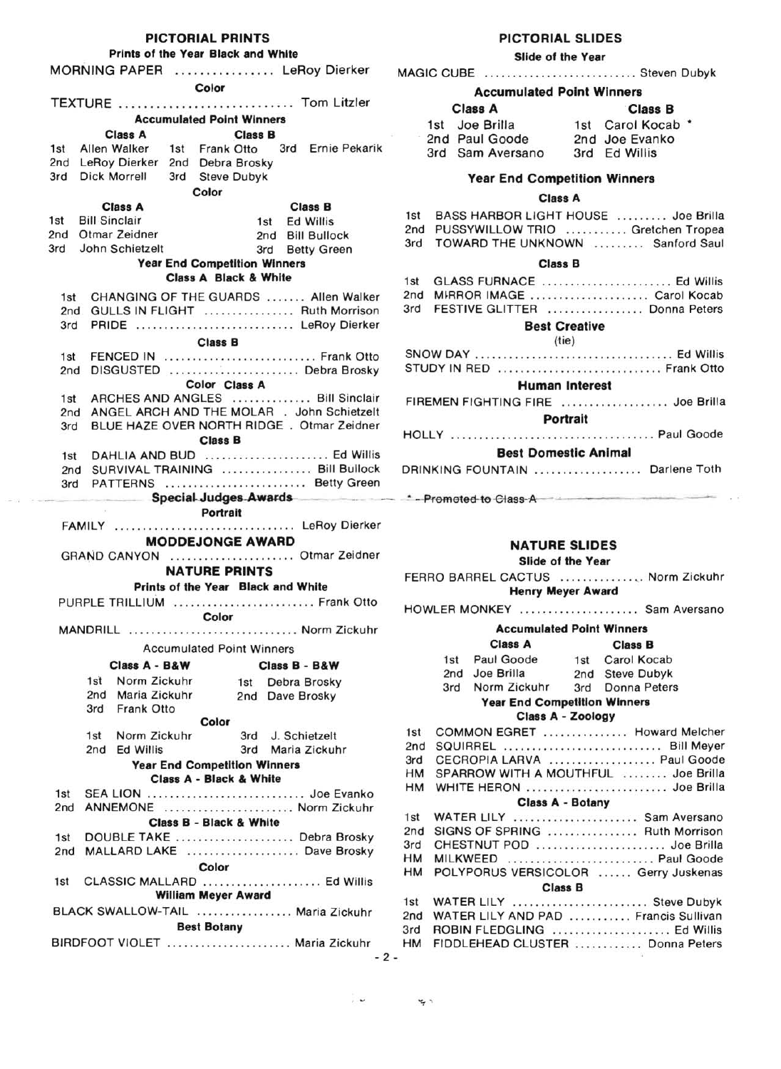### PICTORIAL PRINTS

### Prints of the Year Black and White

| MORNING PAPER  LeRoy Dierker                                     | MAGIC CUBE  Steven Dubyk                                                |
|------------------------------------------------------------------|-------------------------------------------------------------------------|
| Color                                                            | <b>Accumulated Point Winners</b>                                        |
| TEXTURE  Tom Litzler                                             | <b>Class A</b><br><b>Class B</b>                                        |
| <b>Accumulated Point Winners</b>                                 | 1st Joe Brilla<br>1st Carol Kocab *                                     |
| Class A<br><b>Class B</b>                                        | 2nd Paul Goode<br>2nd Joe Evanko                                        |
| 1st Allen Walker<br>1st Frank Otto<br>3rd Ernie Pekarik          | 3rd Sam Aversano<br>3rd Ed Willis                                       |
| 2nd LeRoy Dierker<br>2nd Debra Brosky                            |                                                                         |
| 3rd Dick Morrell<br>3rd Steve Dubyk                              | <b>Year End Competition Winners</b>                                     |
| Color<br>Class A<br><b>Class B</b>                               | <b>Class A</b>                                                          |
| 1st Bill Sinclair<br>1st Ed Willis                               | 1st BASS HARBOR LIGHT HOUSE  Joe Brilla                                 |
| 2nd Otmar Zeidner<br>2nd Bill Bullock                            | 2nd PUSSYWILLOW TRIO  Gretchen Tropea                                   |
| 3rd John Schietzelt<br>3rd Betty Green                           | 3rd TOWARD THE UNKNOWN  Sanford Saul                                    |
| <b>Year End Competition Winners</b>                              | <b>Class B</b>                                                          |
| <b>Class A Black &amp; White</b>                                 | GLASS FURNACE  Ed Willis                                                |
| CHANGING OF THE GUARDS  Allen Walker<br>1st                      | 2nd MIRROR IMAGE  Carol Kocab                                           |
| GULLS IN FLIGHT  Ruth Morrison<br>2nd                            | 3rd FESTIVE GLITTER  Donna Peters                                       |
| PRIDE  LeRoy Dierker<br>3rd                                      | <b>Best Creative</b>                                                    |
| <b>Class B</b>                                                   | (tie)                                                                   |
| FENCED IN  Frank Otto<br>1st                                     |                                                                         |
| 2nd DISGUSTED  Debra Brosky                                      | STUDY IN RED  Frank Otto                                                |
| Color Class A                                                    | <b>Human Interest</b>                                                   |
| ARCHES AND ANGLES  Bill Sinclair                                 | FIREMEN FIGHTING FIRE  Joe Brilla                                       |
| ANGEL ARCH AND THE MOLAR . John Schietzelt<br>2nd                | Portrait                                                                |
| BLUE HAZE OVER NORTH RIDGE. Otmar Zeidner                        |                                                                         |
| <b>Class B</b>                                                   | <b>Best Domestic Animal</b>                                             |
| DAHLIA AND BUD  Ed Willis<br>2nd SURVIVAL TRAINING  Bill Bullock | DRINKING FOUNTAIN  Darlene Toth                                         |
| 3rd PATTERNS  Betty Green                                        |                                                                         |
|                                                                  | Special Judges Awards <b>Example 1</b> Promoted to Class A              |
| Portrait                                                         |                                                                         |
|                                                                  |                                                                         |
| FAMILY  LeRoy Dierker                                            |                                                                         |
| <b>MODDEJONGE AWARD</b>                                          | <b>NATURE SLIDES</b>                                                    |
| GRAND CANYON  Otmar Zeidner                                      | Slide of the Year                                                       |
| <b>NATURE PRINTS</b>                                             | FERRO BARREL CACTUS  Norm Zickuhr                                       |
| Prints of the Year Black and White                               | <b>Henry Meyer Award</b>                                                |
| PURPLE TRILLIUM  Frank Otto                                      | HOWLER MONKEY  Sam Aversano                                             |
| Color                                                            |                                                                         |
| MANDRILL  Norm Zickuhr                                           | <b>Accumulated Point Winners</b>                                        |
| <b>Accumulated Point Winners</b>                                 | <b>Class A</b><br><b>Class B</b>                                        |
| Class A - B&W<br>Class B - B&W                                   | 1st Paul Goode<br>Carol Kocab<br>1st                                    |
| 1st Norm Zickuhr<br>1st Debra Brosky                             | Joe Brilla<br>2nd Steve Dubyk<br>2nd                                    |
| 2nd Maria Zickuhr<br>2nd Dave Brosky                             | 3rd Norm Zickuhr<br>3rd Donna Peters                                    |
| 3rd Frank Otto                                                   | <b>Year End Competition Winners</b><br>Class A - Zoology                |
| Color                                                            | COMMON EGRET  Howard Melcher<br>1st                                     |
| 1st Norm Zickuhr<br>3rd J. Schietzelt                            | 2nd SQUIRREL  Bill Meyer                                                |
| 2nd Ed Willis<br>3rd Maria Zickuhr                               | 3rd CECROPIA LARVA  Paul Goode                                          |
| <b>Year End Competition Winners</b><br>Class A - Black & White   | HM SPARROW WITH A MOUTHFUL  Joe Brilla                                  |
| SEA LION  Joe Evanko<br>1st                                      | HM WHITE HERON  Joe Brilla                                              |
| 2nd ANNEMONE  Norm Zickuhr                                       | Class A - Botany                                                        |
| Class B - Black & White                                          | WATER LILY  Sam Aversano<br>1st                                         |
| DOUBLE TAKE  Debra Brosky<br>1st                                 | 2nd SIGNS OF SPRING  Ruth Morrison                                      |
| 2nd MALLARD LAKE  Dave Brosky                                    | 3rd CHESTNUT POD  Joe Brilla                                            |
| Color                                                            | HM MILKWEED  Paul Goode                                                 |
| 1st CLASSIC MALLARD  Ed Willis                                   | HM POLYPORUS VERSICOLOR  Gerry Juskenas<br><b>Class B</b>               |
| <b>William Meyer Award</b>                                       |                                                                         |
| BLACK SWALLOW-TAIL  Maria Zickuhr                                | 1st WATER LILY  Steve Dubyk<br>2nd WATER LILY AND PAD  Francis Sullivan |
| <b>Best Botany</b><br>BIRDFOOT VIOLET  Maria Zickuhr             | 3rd ROBIN FLEDGLING  Ed Willis                                          |

 $\sim 10$ 

### PICTORIAL SLIDES

Slide of the Year

### Accumulated Point Winners

| <b>Class A</b>   | <b>Class B</b> |                                                      |
|------------------|----------------|------------------------------------------------------|
| 1st Joe Brilla   |                |                                                      |
| 2nd Paul Goode   |                |                                                      |
| 3rd Sam Aversano |                |                                                      |
|                  |                | 1st Carol Kocab *<br>2nd Joe Evanko<br>3rd Ed Willis |

### Year End Competition Winners

### Class A

| 1st BASS HARBOR LIGHT HOUSE  Joe Brilla |
|-----------------------------------------|
| 2nd PUSSYWILLOW TRIO  Gretchen Tropea   |
| 3rd TOWARD THE UNKNOWN  Sanford Saul    |

### Class B

| 1st GLASS FURNACE  Ed Willis      |  |
|-----------------------------------|--|
| 2nd MIRROR IMAGE  Carol Kocab     |  |
| 3rd FESTIVE GLITTER  Donna Peters |  |

### Best Creative

| (tie)                             |
|-----------------------------------|
|                                   |
| STUDY IN RED  Frank Otto          |
| <b>Human Interest</b>             |
| FIREMEN FIGHTING FIRE  Joe Brilla |
| Portrait                          |
|                                   |

### Best Domestic Animal

| DRINKING FOUNTAIN | Darlene Toth |  |
|-------------------|--------------|--|
|                   |              |  |

### NATURE SLIDES

### Accumulated Point Winners

|     | <b>Class A</b>                      | <b>Class B</b>   |
|-----|-------------------------------------|------------------|
|     | 1st Paul Goode                      | 1st Carol Kocab  |
|     | 2nd Joe Brilla                      | 2nd Steve Dubyk  |
| 3rd | Norm Zickuhr                        | 3rd Donna Peters |
|     | <b>Year End Competition Winners</b> |                  |

### Class A - Zoology

| 1st       | COMMON EGRET  Howard Melcher         |
|-----------|--------------------------------------|
| 2nd       | SQUIRREL  Bill Meyer                 |
| 3rd       | CECROPIA LARVA  Paul Goode           |
| <b>HM</b> | SPARROW WITH A MOUTHFUL  Joe Brilla  |
| <b>HM</b> | WHITE HERON  Joe Brilla              |
|           | <b>Class A - Botany</b>              |
| 1st       | <b>WATER LILY</b><br>Sam Aversano    |
| 2nd       | SIGNS OF SPRING  Ruth Morrison       |
| 3rd       | CHESTNUT POD  Joe Brilla             |
| <b>HM</b> | Paul Goode<br>MILKWEED               |
| <b>HM</b> | POLYPORUS VERSICOLOR  Gerry Juskenas |
|           | <b>Class B</b>                       |
| 1st       | WATER LILY  Steve Dubyk              |
| 2nd       | WATER LILY AND PAD  Francis Sullivan |
| 3rd       | ROBIN FLEDGLING  Ed Willis           |
| <b>HM</b> | FIDDLEHEAD CLUSTER  Donna Peters     |

 $-2-$ 

 $\sim$ 

 $\sim$   $^{\circ}$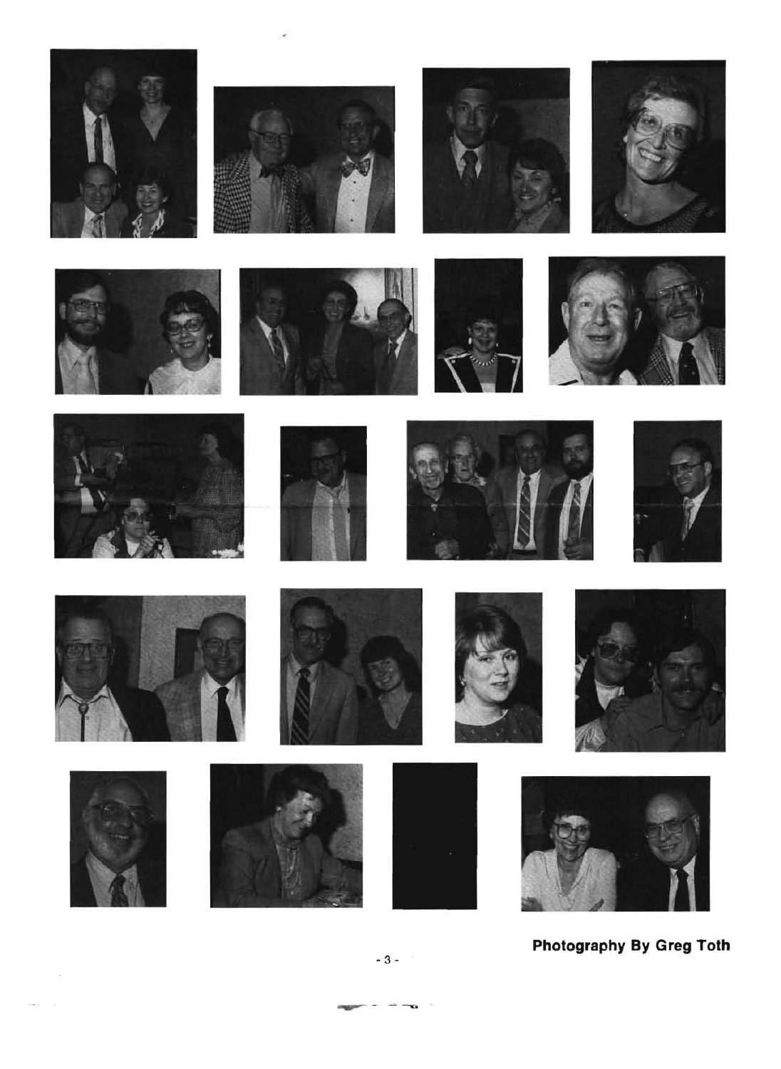

Photography By Greg Toth

ĸ.